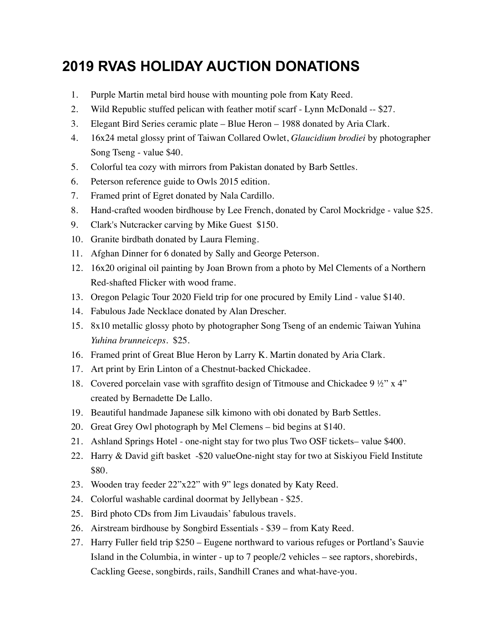## **2019 RVAS HOLIDAY AUCTION DONATIONS**

- 1. Purple Martin metal bird house with mounting pole from Katy Reed.
- 2. Wild Republic stuffed pelican with feather motif scarf Lynn McDonald -- \$27.
- 3. Elegant Bird Series ceramic plate Blue Heron 1988 donated by Aria Clark.
- 4. 16x24 metal glossy print of Taiwan Collared Owlet, *Glaucidium brodiei* by photographer Song Tseng - value \$40.
- 5. Colorful tea cozy with mirrors from Pakistan donated by Barb Settles.
- 6. Peterson reference guide to Owls 2015 edition.
- 7. Framed print of Egret donated by Nala Cardillo.
- 8. Hand-crafted wooden birdhouse by Lee French, donated by Carol Mockridge value \$25.
- 9. Clark's Nutcracker carving by Mike Guest \$150.
- 10. Granite birdbath donated by Laura Fleming.
- 11. Afghan Dinner for 6 donated by Sally and George Peterson.
- 12. 16x20 original oil painting by Joan Brown from a photo by Mel Clements of a Northern Red-shafted Flicker with wood frame.
- 13. Oregon Pelagic Tour 2020 Field trip for one procured by Emily Lind value \$140.
- 14. Fabulous Jade Necklace donated by Alan Drescher.
- 15. 8x10 metallic glossy photo by photographer Song Tseng of an endemic Taiwan Yuhina *Yuhina brunneiceps*. \$25.
- 16. Framed print of Great Blue Heron by Larry K. Martin donated by Aria Clark.
- 17. Art print by Erin Linton of a Chestnut-backed Chickadee.
- 18. Covered porcelain vase with sgraffito design of Titmouse and Chickadee 9 ½" x 4" created by Bernadette De Lallo.
- 19. Beautiful handmade Japanese silk kimono with obi donated by Barb Settles.
- 20. Great Grey Owl photograph by Mel Clemens bid begins at \$140.
- 21. Ashland Springs Hotel one-night stay for two plus Two OSF tickets– value \$400.
- 22. Harry & David gift basket -\$20 valueOne-night stay for two at Siskiyou Field Institute \$80.
- 23. Wooden tray feeder 22"x22" with 9" legs donated by Katy Reed.
- 24. Colorful washable cardinal doormat by Jellybean \$25.
- 25. Bird photo CDs from Jim Livaudais' fabulous travels.
- 26. Airstream birdhouse by Songbird Essentials \$39 from Katy Reed.
- 27. Harry Fuller field trip \$250 Eugene northward to various refuges or Portland's Sauvie Island in the Columbia, in winter - up to 7 people/2 vehicles – see raptors, shorebirds, Cackling Geese, songbirds, rails, Sandhill Cranes and what-have-you.